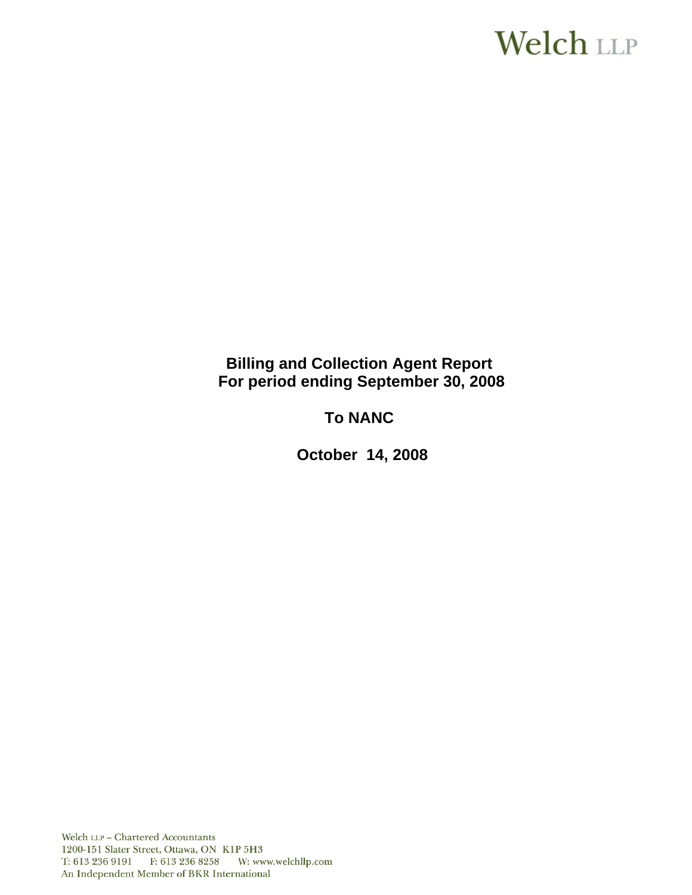# **Welch LLP**

# **Billing and Collection Agent Report For period ending September 30, 2008**

# **To NANC**

 **October 14, 2008**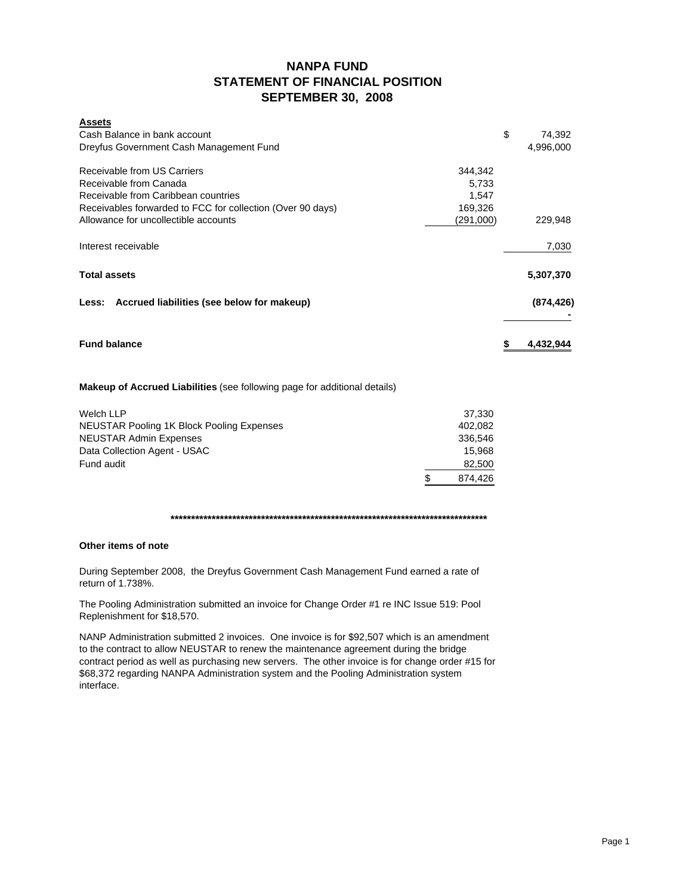# **NANPA FUND STATEMENT OF FINANCIAL POSITION SEPTEMBER 30, 2008**

| <b>Assets</b>                                                         |              |
|-----------------------------------------------------------------------|--------------|
| Cash Balance in bank account                                          | \$<br>74,392 |
| Dreyfus Government Cash Management Fund                               | 4,996,000    |
| Receivable from US Carriers<br>344,342                                |              |
| Receivable from Canada<br>5,733                                       |              |
| Receivable from Caribbean countries<br>1,547                          |              |
| Receivables forwarded to FCC for collection (Over 90 days)<br>169,326 |              |
| Allowance for uncollectible accounts<br>(291,000)                     | 229,948      |
| Interest receivable                                                   | 7,030        |
| <b>Total assets</b>                                                   | 5,307,370    |
| Less: Accrued liabilities (see below for makeup)                      | (874, 426)   |
| <b>Fund balance</b>                                                   | 4,432,944    |

### **Makeup of Accrued Liabilities** (see following page for additional details)

| Welch LLP                                        | 37.330       |
|--------------------------------------------------|--------------|
| <b>NEUSTAR Pooling 1K Block Pooling Expenses</b> | 402.082      |
| <b>NEUSTAR Admin Expenses</b>                    | 336.546      |
| Data Collection Agent - USAC                     | 15.968       |
| Fund audit                                       | 82,500       |
|                                                  | S<br>874.426 |

#### **\*\*\*\*\*\*\*\*\*\*\*\*\*\*\*\*\*\*\*\*\*\*\*\*\*\*\*\*\*\*\*\*\*\*\*\*\*\*\*\*\*\*\*\*\*\*\*\*\*\*\*\*\*\*\*\*\*\*\*\*\*\*\*\*\*\*\*\*\*\*\*\*\*\*\*\*\***

#### **Other items of note**

During September 2008, the Dreyfus Government Cash Management Fund earned a rate of return of 1.738%.

The Pooling Administration submitted an invoice for Change Order #1 re INC Issue 519: Pool Replenishment for \$18,570.

NANP Administration submitted 2 invoices. One invoice is for \$92,507 which is an amendment to the contract to allow NEUSTAR to renew the maintenance agreement during the bridge contract period as well as purchasing new servers. The other invoice is for change order #15 for \$68,372 regarding NANPA Administration system and the Pooling Administration system interface.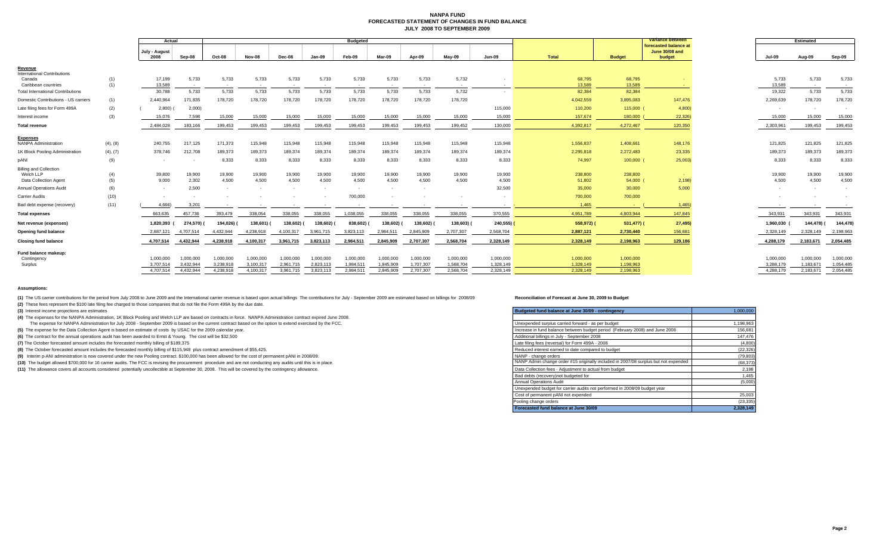#### **NANPA FUND FORECASTED STATEMENT OF CHANGES IN FUND BALANCEJULY 2008 TO SEPTEMBER 2009**

|                                                |            | Actual                |                 |                 |                 |                 |           | <b>Budgeted</b>          |            |                 |                 |                          |                  |                  | Variance between                                  |                 | <b>Estimated</b>                  |                          |
|------------------------------------------------|------------|-----------------------|-----------------|-----------------|-----------------|-----------------|-----------|--------------------------|------------|-----------------|-----------------|--------------------------|------------------|------------------|---------------------------------------------------|-----------------|-----------------------------------|--------------------------|
|                                                |            | July - August<br>2008 | Sep-08          | Oct-08          | Nov-08          | Dec-08          | Jan-09    | Feb-09                   | Mar-09     | Apr-09          | Mav-09          | <b>Jun-09</b>            | Total            | <b>Budget</b>    | forecasted balance at<br>June 30/08 and<br>budget | <b>Jul-09</b>   | Aug-09                            | Sep-09                   |
| Revenue                                        |            |                       |                 |                 |                 |                 |           |                          |            |                 |                 |                          |                  |                  |                                                   |                 |                                   |                          |
| <b>International Contributions</b>             |            |                       |                 |                 |                 |                 |           |                          |            |                 |                 |                          |                  |                  |                                                   |                 |                                   |                          |
| Canada<br>Caribbean countries                  | (1)<br>(1) | 17,199<br>13,589      | 5,733<br>$\sim$ | 5,733<br>$\sim$ | 5,733<br>$\sim$ | 5,733<br>$\sim$ | 5,733     | 5,733<br>$\sim$          | 5,733      | 5,733<br>$\sim$ | 5,732<br>$\sim$ |                          | 68,795<br>13,589 | 68,795<br>13,589 |                                                   | 5.733<br>13,589 | 5,733<br>$\overline{\phantom{a}}$ | 5,733                    |
| <b>Total International Contributions</b>       |            | 30,788                | 5,733           | 5,733           | 5,733           | 5,733           | 5,733     | 5,733                    | 5,733      | 5,733           | 5,732           |                          | 82,384           | 82,384           |                                                   | 19,322          | 5,733                             | 5,733                    |
| Domestic Contributions - US carriers           | (1)        | 2,440,964             | 171,835         | 178,720         | 178,720         | 178,720         | 178,720   | 178,720                  | 178,720    | 178,720         | 178,720         |                          | 4,042,559        | 3,895,083        | 147,476                                           | 2,269,639       | 178,720                           | 178,720                  |
| Late filing fees for Form 499A                 | (2)        | 2,800)                | 2,000           |                 |                 |                 |           |                          |            |                 |                 | 115,000                  | 110,200          | 115,000          | 4,800                                             | $\sim$          | $\overline{\phantom{a}}$          | $\overline{\phantom{a}}$ |
| Interest income                                | (3)        | 15,076                | 7,598           | 15,000          | 15,000          | 15,000          | 15,000    | 15,000                   | 15,000     | 15,000          | 15,000          | 15,000                   | 157,674          | 180,000          | 22,326)                                           | 15,000          | 15,000                            | 15,000                   |
| <b>Total revenue</b>                           |            | 2.484.028             | 183,166         | 199.453         | 199.453         | 199,453         | 199.453   | 199,453                  | 199.453    | 199.453         | 199.452         | 130,000                  | 4.392.817        | 4.272.467        | 120,350                                           | 2.303.961       | 199.453                           | 199,453                  |
|                                                |            |                       |                 |                 |                 |                 |           |                          |            |                 |                 |                          |                  |                  |                                                   |                 |                                   |                          |
| <b>Expenses</b><br><b>NANPA Administration</b> | (4), (8)   | 240,755               | 217,125         | 171,373         | 115,948         | 115,948         | 115,948   | 115,948                  | 115,948    | 115,948         | 115,948         | 115,948                  | 1,556,837        | 1,408,661        | 148,176                                           | 121,825         | 121,825                           | 121,825                  |
| 1K Block Pooling Administration                | (4), (7)   | 378,746               | 212,708         | 189,373         | 189,373         | 189,374         | 189,374   | 189,374                  | 189,374    | 189,374         | 189.374         | 189,374                  | 2,295,818        | 2,272,483        | 23,335                                            | 189,373         | 189,373                           | 189,373                  |
| pANI                                           | (9)        | $\sim$                |                 | 8,333           | 8,333           | 8,333           | 8,333     | 8,333                    | 8,333      | 8,333           | 8,333           | 8,333                    | 74,997           | 100,000          | 25,003                                            | 8,333           | 8,333                             | 8,333                    |
| <b>Billing and Collection</b>                  |            |                       |                 |                 |                 |                 |           |                          |            |                 |                 |                          |                  |                  |                                                   |                 |                                   |                          |
| Welch LLP                                      | (4)        | 39,800                | 19,900          | 19,900          | 19,900          | 19,900          | 19,900    | 19,900                   | 19,900     | 19,900          | 19,900          | 19,900                   | 238,800          | 238,800          | <b>Contract</b>                                   | 19,900          | 19,900                            | 19,900                   |
| Data Collection Agent                          | (5)        | 9.000                 | 2,302           | 4,500           | 4.500           | 4,500           | 4.500     | 4,500                    | 4,500      | 4,500           | 4.500           | 4,500                    | 51,802           | 54,000           | 2,198                                             | 4,500           | 4,500                             | 4,500                    |
| <b>Annual Operations Audit</b>                 | (6)        | $\sim$                | 2,500           | $\sim$          |                 |                 |           | $\overline{\phantom{a}}$ | $\sim$     | $\sim$          |                 | 32,500                   | 35,000           | 30,000           | 5,000                                             |                 |                                   |                          |
| Carrier Audits                                 | (10)       |                       |                 |                 |                 |                 |           | 700,000                  |            |                 |                 | $\overline{\phantom{a}}$ | 700,000          | 700,000          |                                                   |                 |                                   |                          |
| Bad debt expense (recovery)                    | (11)       | 4.666)                | 3,201           |                 |                 | $\sim$          |           |                          |            |                 | $\sim$          | $\sim$                   | 1.465            | <b>Section</b>   | 1,465                                             | $\sim$          | $\overline{\phantom{a}}$          | $\sim$ 100 $\pm$         |
| <b>Total expenses</b>                          |            | 663.635               | 457.736         | 393.479         | 338.054         | 338.055         | 338.055   | 1.038.055                | 338.055    | 338.055         | 338.055         | 370,555                  | 4,951,789        | 4.803.944        | 147.845                                           | 343.931         | 343,931                           | 343,931                  |
| Net revenue (expenses)                         |            | 1,820,393             | 274,570) (      | 194,026)        | 138,601)        | 138,602)        | 138,602)  | 838,602)                 | 138,602) ( | 138,602)        | 138,603) (      | 240,555)                 | 558,972) (       | 531,477)         | 27,495)                                           | 1,960,030       | 144.478)                          | 144,478)                 |
| <b>Opening fund balance</b>                    |            | 2,887,121             | 4,707,514       | 4,432,944       | 4,238,918       | 4,100,317       | 3,961,715 | 3,823,113                | 2,984,511  | 2,845,909       | 2,707,307       | 2,568,704                | 2,887,121        | 2,730,440        | 156,681                                           | 2,328,149       | 2,328,149                         | 2,198,963                |
| <b>Closing fund balance</b>                    |            | 4,707,514             | 4.432.944       | 4,238,918       | 4,100,317       | 3,961,715       | 3,823,113 | 2,984,511                | 2,845,909  | 2,707,307       | 2,568,704       | 2,328,149                | 2,328,149        | 2,198,963        | 129,186                                           | 4,288,179       | 2,183,671                         | 2,054,485                |
| Fund balance makeup:                           |            |                       |                 |                 |                 |                 |           |                          |            |                 |                 |                          |                  |                  |                                                   |                 |                                   |                          |
| Contingency                                    |            | 1.000.000             | 1.000.000       | 1,000,000       | 1,000,000       | 1,000,000       | 1,000,000 | 1,000,000                | 1,000,000  | 1,000,000       | 1,000,000       | 1,000,000                | 1,000,000        | 1,000,000        |                                                   | 1,000,000       | 1,000,000                         | 1,000,000                |
| Surplus                                        |            | 3,707,514             | 3.432.944       | 3.238.918       | 3.100.317       | 2.961.715       | 2.823.113 | 1.984.511                | 1.845.909  | 1.707.307       | 1.568.704       | 1.328.149                | 1.328.149        | 1.198.963        |                                                   | 3.288.179       | 1.183.671                         | 1,054,485                |
|                                                |            | 4,707,514             | 4,432,944       | 4,238,918       | 4,100,317       | 3,961,715       | 3,823,113 | 2,984,511                | 2,845,909  | 2,707,307       | 2,568,704       | 2,328,149                | 2,328,149        | 2,198,963        |                                                   | 4,288,179       | 2,183,671                         | 2,054,485                |
|                                                |            |                       |                 |                 |                 |                 |           |                          |            |                 |                 |                          |                  |                  |                                                   |                 |                                   |                          |

#### **Assumptions:**

(1) The US carrier contributions for the period from July 2008 to June 2009 and the International carrier revenue is based upon actual billings The contributions for July - September 2009 are estimated based on billings fo

**(2)** These fees represent the \$100 late filing fee charged to those companies that do not file the Form 499A by the due date.

**(3)** Interest income projections are estimates

**(4)** The expenses for the NANPA Administration, 1K Block Pooling and Welch LLP are based on contracts in force. NANPA Administration contract expired June 2008.

The expense for NANPA Administration for July 2008 - September 2009 is based on the current contract based on the option to extend exercised by the FCC.

**(5)** The expense for the Data Collection Agent is based on estimate of costs by USAC for the 2009 calendar year.

**(6)** The contract for the annual operations audit has been awarded to Ernst & Young. The cost will be \$32,500

**(7)** The October forecasted amount includes the forecasted monthly billing of \$189,375

**(8)** The October forecasted amount includes the forecasted monthly billing of \$115,948 plus contract amendment of \$55,425.

(9) Interim p-ANI administration is now covered under the new Pooling contract. \$100,000 has been allowed for the cost of permanent pANI in 2008/09. (10) The budget allowed \$700,000 for 16 carrier audits. The FCC is revising the procurement procedure and are not conducting any audits until this is in place.

(11) The allowance covers all accounts considered potentially uncollectible at September 30, 2008. This will be covered by the contingency allowance.

| Budgeted fund balance at June 30/09 - contingency                                   | 1.000.000 |
|-------------------------------------------------------------------------------------|-----------|
|                                                                                     |           |
| Unexpended surplus carried forward - as per budget                                  | 1,198,963 |
| Increase in fund balance between budget period (February 2008) and June 2008        | 156,681   |
| Additional billings in July - September 2008                                        | 147,476   |
| Late filing fees (reversal) for Form 499A - 2008                                    | (4,800)   |
| Reduced interest earned to date compared to budget                                  | (22, 326) |
| NANP - change orders                                                                | (79, 803) |
| NANP Admin change order #15 originally included in 2007/08 surplus but not expended | (68, 373) |
| Data Collection fees - Adjustment to actual from budget                             | 2,198     |
| Bad debts (recovery) not budgeted for                                               | 1,465     |
| <b>Annual Operations Audit</b>                                                      | (5,000)   |
| Unexpended budget for carrier audits not performed in 2008/09 budget year           |           |
| Cost of permanent pANI not expended                                                 | 25,003    |
| Pooling change orders                                                               | (23, 335) |
| Forecasted fund balance at June 30/09                                               | 2,328,149 |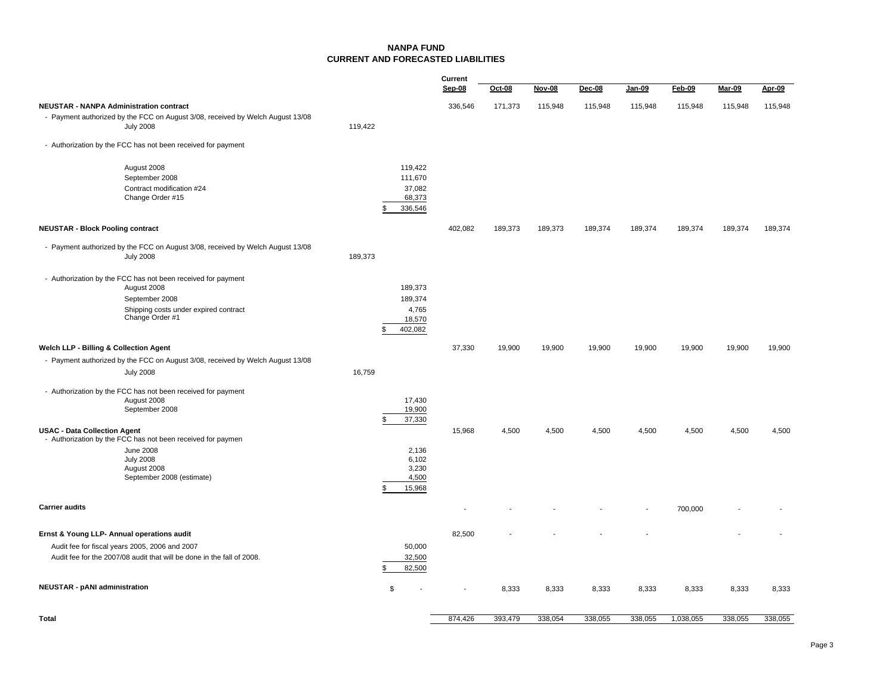#### **NANPA FUNDCURRENT AND FORECASTED LIABILITIES**

|                                                                                                                          |         |                         | Current |         |               |         |         |           |                              |         |
|--------------------------------------------------------------------------------------------------------------------------|---------|-------------------------|---------|---------|---------------|---------|---------|-----------|------------------------------|---------|
|                                                                                                                          |         |                         | Sep-08  | Oct-08  | <b>Nov-08</b> | Dec-08  | Jan-09  | Feb-09    | $\overline{\mathsf{Mar-09}}$ | Apr-09  |
| <b>NEUSTAR - NANPA Administration contract</b>                                                                           |         |                         | 336,546 | 171,373 | 115,948       | 115,948 | 115,948 | 115,948   | 115,948                      | 115,948 |
| - Payment authorized by the FCC on August 3/08, received by Welch August 13/08                                           |         |                         |         |         |               |         |         |           |                              |         |
| <b>July 2008</b>                                                                                                         | 119,422 |                         |         |         |               |         |         |           |                              |         |
| - Authorization by the FCC has not been received for payment                                                             |         |                         |         |         |               |         |         |           |                              |         |
| August 2008                                                                                                              |         | 119,422                 |         |         |               |         |         |           |                              |         |
| September 2008                                                                                                           |         | 111,670                 |         |         |               |         |         |           |                              |         |
| Contract modification #24                                                                                                |         | 37,082                  |         |         |               |         |         |           |                              |         |
| Change Order #15                                                                                                         |         | 68,373<br>336,546<br>\$ |         |         |               |         |         |           |                              |         |
|                                                                                                                          |         |                         |         |         |               |         |         |           |                              |         |
| <b>NEUSTAR - Block Pooling contract</b>                                                                                  |         |                         | 402,082 | 189,373 | 189,373       | 189,374 | 189,374 | 189,374   | 189,374                      | 189,374 |
| - Payment authorized by the FCC on August 3/08, received by Welch August 13/08                                           |         |                         |         |         |               |         |         |           |                              |         |
| <b>July 2008</b>                                                                                                         | 189,373 |                         |         |         |               |         |         |           |                              |         |
| - Authorization by the FCC has not been received for payment                                                             |         |                         |         |         |               |         |         |           |                              |         |
| August 2008                                                                                                              |         | 189,373                 |         |         |               |         |         |           |                              |         |
| September 2008                                                                                                           |         | 189,374                 |         |         |               |         |         |           |                              |         |
| Shipping costs under expired contract<br>Change Order #1                                                                 |         | 4,765                   |         |         |               |         |         |           |                              |         |
|                                                                                                                          |         | 18,570<br>402,082       |         |         |               |         |         |           |                              |         |
|                                                                                                                          |         |                         |         |         |               |         |         |           |                              |         |
| Welch LLP - Billing & Collection Agent                                                                                   |         |                         | 37,330  | 19,900  | 19,900        | 19,900  | 19,900  | 19,900    | 19,900                       | 19,900  |
| - Payment authorized by the FCC on August 3/08, received by Welch August 13/08                                           | 16,759  |                         |         |         |               |         |         |           |                              |         |
| <b>July 2008</b>                                                                                                         |         |                         |         |         |               |         |         |           |                              |         |
| - Authorization by the FCC has not been received for payment                                                             |         |                         |         |         |               |         |         |           |                              |         |
| August 2008<br>September 2008                                                                                            |         | 17,430<br>19,900        |         |         |               |         |         |           |                              |         |
|                                                                                                                          |         | 37,330                  |         |         |               |         |         |           |                              |         |
| <b>USAC - Data Collection Agent</b>                                                                                      |         |                         | 15,968  | 4,500   | 4,500         | 4,500   | 4,500   | 4,500     | 4,500                        | 4,500   |
| - Authorization by the FCC has not been received for paymen                                                              |         |                         |         |         |               |         |         |           |                              |         |
| <b>June 2008</b><br><b>July 2008</b>                                                                                     |         | 2,136<br>6,102          |         |         |               |         |         |           |                              |         |
| August 2008                                                                                                              |         | 3,230                   |         |         |               |         |         |           |                              |         |
| September 2008 (estimate)                                                                                                |         | 4,500                   |         |         |               |         |         |           |                              |         |
|                                                                                                                          |         | 15,968                  |         |         |               |         |         |           |                              |         |
| <b>Carrier audits</b>                                                                                                    |         |                         |         |         |               |         |         | 700,000   |                              |         |
|                                                                                                                          |         |                         |         |         |               |         |         |           |                              |         |
| Ernst & Young LLP- Annual operations audit                                                                               |         |                         | 82,500  |         |               |         |         |           |                              |         |
| Audit fee for fiscal years 2005, 2006 and 2007<br>Audit fee for the 2007/08 audit that will be done in the fall of 2008. |         | 50,000<br>32,500        |         |         |               |         |         |           |                              |         |
|                                                                                                                          |         | 82,500                  |         |         |               |         |         |           |                              |         |
|                                                                                                                          |         |                         |         |         |               |         |         |           |                              |         |
| <b>NEUSTAR - pANI administration</b>                                                                                     |         | \$                      |         | 8,333   | 8,333         | 8,333   | 8,333   | 8,333     | 8,333                        | 8,333   |
|                                                                                                                          |         |                         |         |         |               |         |         |           |                              |         |
| Total                                                                                                                    |         |                         | 874.426 | 393.479 | 338.054       | 338.055 | 338.055 | 1.038.055 | 338.055                      | 338.055 |